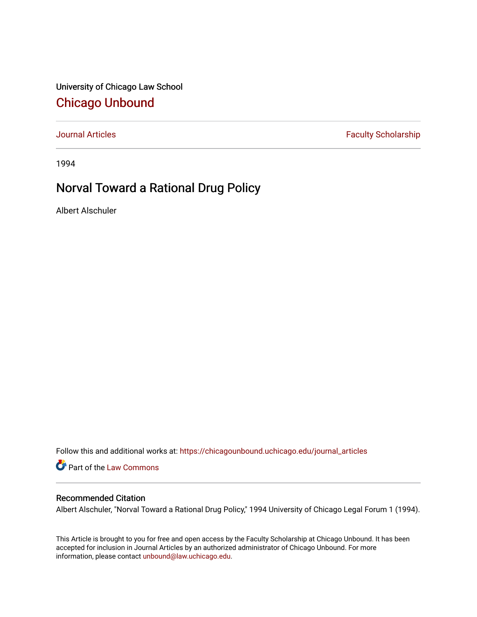University of Chicago Law School [Chicago Unbound](https://chicagounbound.uchicago.edu/)

[Journal Articles](https://chicagounbound.uchicago.edu/journal_articles) **Faculty Scholarship Faculty Scholarship** 

1994

## Norval Toward a Rational Drug Policy

Albert Alschuler

Follow this and additional works at: [https://chicagounbound.uchicago.edu/journal\\_articles](https://chicagounbound.uchicago.edu/journal_articles?utm_source=chicagounbound.uchicago.edu%2Fjournal_articles%2F985&utm_medium=PDF&utm_campaign=PDFCoverPages) 

Part of the [Law Commons](http://network.bepress.com/hgg/discipline/578?utm_source=chicagounbound.uchicago.edu%2Fjournal_articles%2F985&utm_medium=PDF&utm_campaign=PDFCoverPages)

## Recommended Citation

Albert Alschuler, "Norval Toward a Rational Drug Policy," 1994 University of Chicago Legal Forum 1 (1994).

This Article is brought to you for free and open access by the Faculty Scholarship at Chicago Unbound. It has been accepted for inclusion in Journal Articles by an authorized administrator of Chicago Unbound. For more information, please contact [unbound@law.uchicago.edu](mailto:unbound@law.uchicago.edu).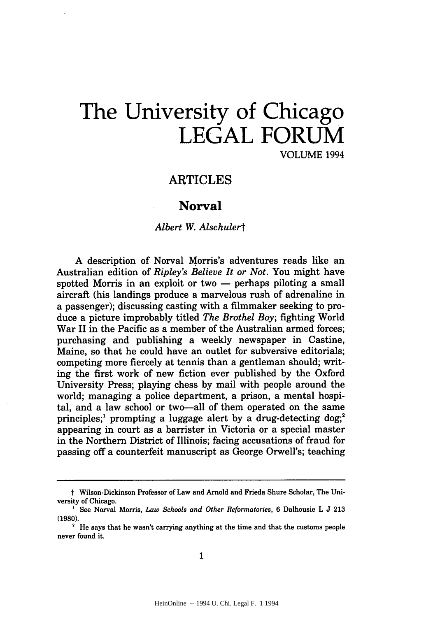# **The University of Chicago LEGAL FORUM** VOLUME 1994

## ARTICLES

## Norval

### *Albert W. Alschulert*

**A** description of Norval Morris's adventures reads like an Australian edition of *Ripley's Believe It or Not.* You might have spotted Morris in an exploit or two — perhaps piloting a small aircraft (his landings produce a marvelous rush of adrenaline in a passenger); discussing casting with a filmmaker seeking to produce a picture improbably titled *The Brothel Boy;* fighting World War II in the Pacific as a member of the Australian armed forces; purchasing and publishing a weekly newspaper in Castine, Maine, so that he could have an outlet for subversive editorials; competing more fiercely at tennis than a gentleman should; writing the first work of new fiction ever published **by** the Oxford University Press; playing chess **by** mail with people around the world; managing a police department, a prison, a mental hospital, and a law school or two-all of them operated on the same principles;<sup>1</sup> prompting a luggage alert by a drug-detecting dog;<sup>2</sup> appearing in court as a barrister in Victoria or a special master in the Northern District of Illinois; facing accusations of fraud for passing off a counterfeit manuscript as George Orwell's; teaching

t Wilson-Dickinson Professor of Law and Arnold and Frieda Shure Scholar, The University of Chicago.

**<sup>&#</sup>x27;** See Norval Morris, *Law Schools and Other Reformatories,* **6** Dalhousie L **J 213 (1980).**

**<sup>&#</sup>x27;** He says that he wasn't carrying anything at the time and that the customs people never found it.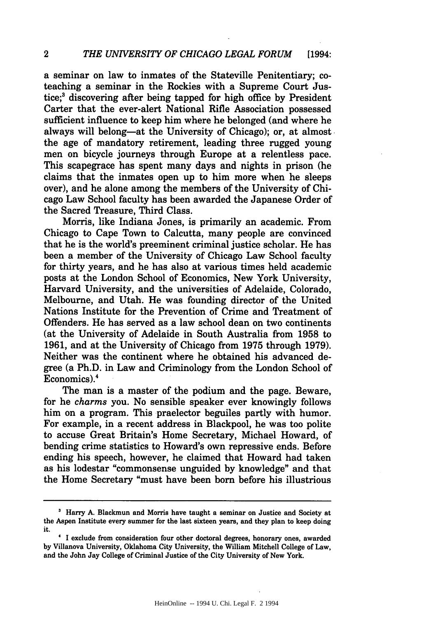a seminar on law to inmates of the Stateville Penitentiary; coteaching a seminar in the Rockies with a Supreme Court Justice;<sup>3</sup> discovering after being tapped for high office by President Carter that the ever-alert National Rifle Association possessed sufficient influence to keep him where he belonged (and where he always will belong-at the University of Chicago); or, at almost the age of mandatory retirement, leading three rugged young men on bicycle journeys through Europe at a relentless pace. This scapegrace has spent many days and nights in prison (he claims that the inmates open up to him more when he sleeps over), and he alone among the members of the University of Chicago Law School faculty has been awarded the Japanese Order of the Sacred Treasure, Third Class.

Morris, like Indiana Jones, is primarily an academic. From Chicago to Cape Town to Calcutta, many people are convinced that he is the world's preeminent criminal justice scholar. He has been a member of the University of Chicago Law School faculty for thirty years, and he has also at various times held academic posts at the London School of Economics, New York University, Harvard University, and the universities of Adelaide, Colorado, Melbourne, and Utah. He was founding director of the United Nations Institute for the Prevention of Crime and Treatment of Offenders. He has served as a law school dean on two continents (at the University of Adelaide in South Australia from 1958 to 1961, and at the University of Chicago from 1975 through 1979). Neither was the continent where he obtained his advanced degree (a Ph.D. in Law and Criminology from the London School of Economics).4

The man is a master of the podium and the page. Beware, for he *charms* you. No sensible speaker ever knowingly follows him on a program. This praelector beguiles partly with humor. For example, in a recent address in Blackpool, he was too polite to accuse Great Britain's Home Secretary, Michael Howard, of bending crime statistics to Howard's own repressive ends. Before ending his speech, however, he claimed that Howard had taken as his lodestar "commonsense unguided by knowledge" and that the Home Secretary "must have been born before his illustrious

**<sup>&#</sup>x27;** Harry **A.** Blackmun and Morris have taught a seminar on Justice and Society at the Aspen Institute every summer for the last sixteen years, and they plan to keep doing **it.**

I exclude from consideration four other doctoral degrees, honorary ones, awarded **by** Villanova University, Oklahoma City University, the William Mitchell College of Law, and the John Jay College of Criminal Justice of the City University of New York.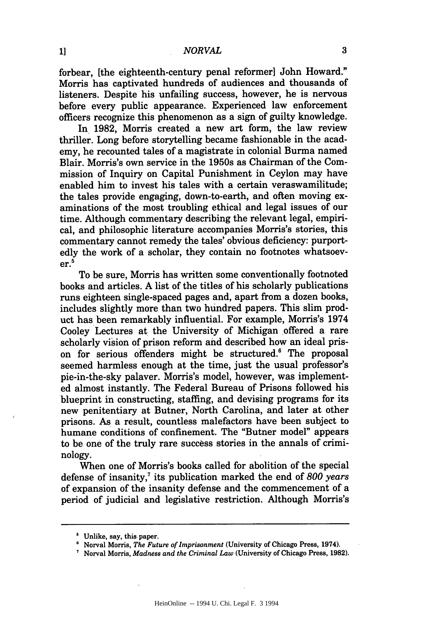$\mathbf{a}$ 

forbear, [the eighteenth-century penal reformer] John Howard." Morris has captivated hundreds of audiences and thousands of listeners. Despite his unfailing success, however, he is nervous before every public appearance. Experienced law enforcement officers recognize this phenomenon as a sign of guilty knowledge.

In 1982, Morris created a new art form, the law review thriller. Long before storytelling became fashionable in the academy, he recounted tales of a magistrate in colonial Burma named Blair. Morris's own service in the 1950s as Chairman of the Commission of Inquiry on Capital Punishment in Ceylon may have enabled him to invest his tales with a certain veraswamilitude; the tales provide engaging, down-to-earth, and often moving examinations of the most troubling ethical and legal issues of our time. Although commentary describing the relevant legal, empirical, and philosophic literature accompanies Morris's stories, this commentary cannot remedy the tales' obvious deficiency: purportedly the work of a scholar, they contain no footnotes whatsoev $er.<sup>5</sup>$ 

To be sure, Morris has written some conventionally footnoted books and articles. A list of the titles of his scholarly publications runs eighteen single-spaced pages and, apart from a dozen books, includes slightly more than two hundred papers. This slim product has been remarkably influential. For example, Morris's 1974 Cooley Lectures at the University of Michigan offered a rare scholarly vision of prison reform and described how an ideal prison for serious offenders might be structured.<sup>6</sup> The proposal seemed harmless enough at the time, just the usual professor's pie-in-the-sky palaver. Morris's model, however, was implemented almost instantly. The Federal Bureau of Prisons followed his blueprint in constructing, staffing, and devising programs for its new penitentiary at Butner, North Carolina, and later at other prisons. As a result, countless malefactors have been subject to humane conditions of confinement. The "Butner model" appears to be one of the truly rare success stories in the annals of criminology.

When one of Morris's books called for abolition of the special defense of insanity,7 its publication marked the end of *800 years* of expansion of the insanity defense and the commencement of a period of judicial and legislative restriction. Although Morris's

<sup>&</sup>lt;sup>5</sup> Unlike, say, this paper.

<sup>6</sup> Norval Morris, *The Future of Imprisonment* (University of Chicago Press, 1974).

Norval Morris, *Madness and the Criminal Law* (University of Chicago Press, **1982).**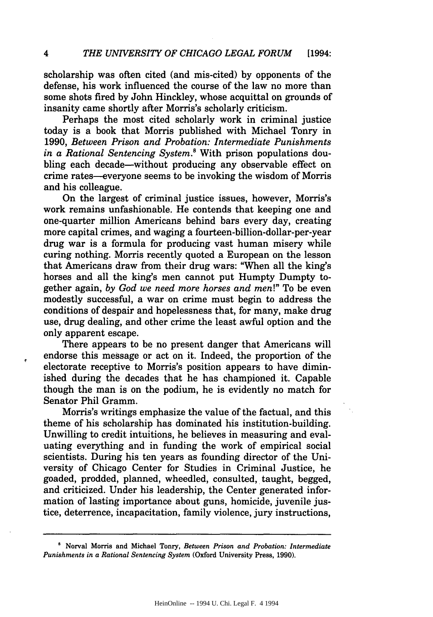scholarship was often cited (and mis-cited) by opponents of the defense, his work influenced the course of the law no more than some shots fired by John Hinckley, whose acquittal on grounds of insanity came shortly after Morris's scholarly criticism.

Perhaps the most cited scholarly work in criminal justice today is a book that Morris published with Michael Tonry in 1990, *Between Prison and Probation: Intermediate Punishments in a Rational Sentencing System.8* With prison populations doubling each decade-without producing any observable effect on crime rates-everyone seems to be invoking the wisdom of Morris and his colleague.

On the largest of criminal justice issues, however, Morris's work remains unfashionable. He contends that keeping one and one-quarter million Americans behind bars every day, creating more capital crimes, and waging a fourteen-billion-dollar-per-year drug war is a formula for producing vast human misery while curing nothing. Morris recently quoted a European on the lesson that Americans draw from their drug wars: "When all the king's horses and all the king's men cannot put Humpty Dumpty together again, *by God we need more horses and men!"* To be even modestly successful, a war on crime must begin to address the conditions of despair and hopelessness that, for many, make drug use, drug dealing, and other crime the least awful option and the only apparent escape.

There appears to be no present danger that Americans will endorse this message or act on it. Indeed, the proportion of the electorate receptive to Morris's position appears to have diminished during the decades that he has championed it. Capable though the man is on the podium, he is evidently no match for Senator Phil Gramm.

Morris's writings emphasize the value of the factual, and this theme of his scholarship has dominated his institution-building. Unwilling to credit intuitions, he believes in measuring and evaluating everything and in funding the work of empirical social scientists. During his ten years as founding director of the University of Chicago Center for Studies in Criminal Justice, he goaded, prodded, planned, wheedled, consulted, taught, begged, and criticized. Under his leadership, the Center generated information of lasting importance about guns, homicide, juvenile justice, deterrence, incapacitation, family violence, jury instructions,

**<sup>&#</sup>x27;** Norval Morris and Michael Tonry, *Between Prison and Probation: Intermediate Punishments in a Rational Sentencing System* (Oxford University Press, 1990).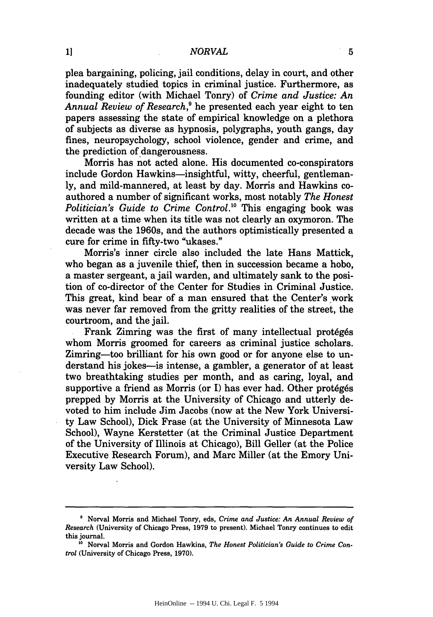#### *NORVAL*

plea bargaining, policing, jail conditions, delay in court, and other inadequately studied topics in criminal justice. Furthermore, as founding editor (with Michael Tonry) of *Crime and Justice: An Annual Review of Research,9* he presented each year eight to ten papers assessing the state of empirical knowledge on a plethora of subjects as diverse as hypnosis, polygraphs, youth gangs, day fines, neuropsychology, school violence, gender and crime, and the prediction of dangerousness.

Morris has not acted alone. His documented co-conspirators include Gordon Hawkins-insightful, witty, cheerful, gentlemanly, and mild-mannered, at least by day. Morris and Hawkins coauthored a number of significant works, most notably *The Honest Politician's Guide to Crime Control.*<sup>10</sup> This engaging book was written at a time when its title was not clearly an oxymoron. The decade was the 1960s, and the authors optimistically presented a cure for crime in fifty-two "ukases."

Morris's inner circle also included the late Hans Mattick, who began as a juvenile thief, then in succession became a hobo, a master sergeant, a jail warden, and ultimately sank to the position of co-director of the Center for Studies in Criminal Justice. This great, kind bear of a man ensured that the Center's work was never far removed from the gritty realities of the street, the courtroom, and the jail.

Frank Zimring was the first of many intellectual protégés whom Morris groomed for careers as criminal justice scholars. Zimring-too brilliant for his own good or for anyone else to understand his jokes-is intense, a gambler, a generator of at least two breathtaking studies per month, and as caring, loyal, and supportive a friend as Morris (or I) has ever had. Other protégés prepped by Morris at the University of Chicago and utterly devoted to him include Jim Jacobs (now at the New York University Law School), Dick Frase (at the University of Minnesota Law School), Wayne Kerstetter (at the Criminal Justice Department of the University of Illinois at Chicago), Bill Geller (at the Police Executive Research Forum), and Marc Miller (at the Emory University Law School).

Norval Morris and Michael Tonry, eds, *Crime and Justice: An Annual Review of Research* (University of Chicago Press, **1979** to present). Michael Tonry continues **to** edit this journal.

**<sup>&#</sup>x27;0** Norval Morris and Gordon Hawkins, *The Honest Politician's Guide to Crime Control* (University of Chicago Press, **1970).**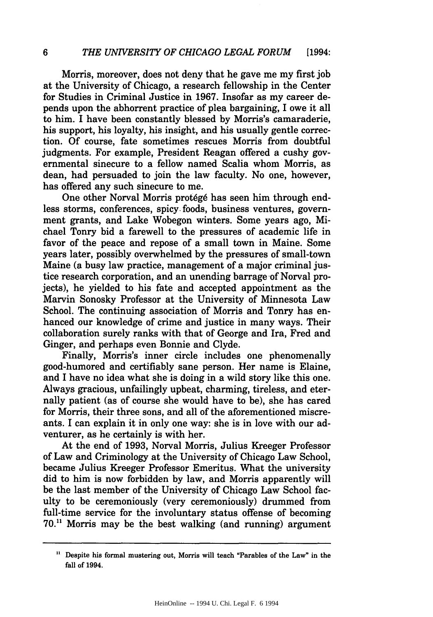#### *6 THE UNIVERSITY OF CHICAGO LEGAL FORUM* [1994:

Morris, moreover, does not deny that he gave me my first job at the University of Chicago, a research fellowship in the Center for Studies in Criminal Justice in 1967. Insofar as my career depends upon the abhorrent practice of plea bargaining, I owe it all to him. I have been constantly blessed by Morris's camaraderie, his support, his loyalty, his insight, and his usually gentle correction. Of course, fate sometimes rescues Morris from doubtful judgments. For example, President Reagan offered a cushy governmental sinecure to a fellow named Scalia whom Morris, as dean, had persuaded to join the law faculty. No one, however, has offered any such sinecure to me.

One other Norval Morris protégé has seen him through endless storms, conferences, spicy. foods, business ventures, government grants, and Lake Wobegon winters. Some years ago, Michael Tonry bid a farewell to the pressures of academic life in favor of the peace and repose of a small town in Maine. Some years later, possibly overwhelmed by the pressures of small-town Maine (a busy law practice, management of a major criminal justice research corporation, and an unending barrage of Norval projects), he yielded to his fate and accepted appointment as the Marvin Sonosky Professor at the University of Minnesota Law School. The continuing association of Morris and Tonry has enhanced our knowledge of crime and justice in many ways. Their collaboration surely ranks with that of George and Ira, Fred and Ginger, and perhaps even Bonnie and Clyde.

Finally, Morris's inner circle includes one phenomenally good-humored and certifiably sane person. Her name is Elaine, and I have no idea what she is doing in a wild story like this one. Always gracious, unfailingly upbeat, charming, tireless, and eternally patient (as of course she would have to be), she has cared for Morris, their three sons, and all of the aforementioned miscreants. I can explain it in only one way: she is in love with our adventurer, as he certainly is with her.

At the end of 1993, Norval Morris, Julius Kreeger Professor of Law and Criminology at the University of Chicago Law School, became Julius Kreeger Professor Emeritus. What the university did to him is now forbidden by law, and Morris apparently will be the last member of the University of Chicago Law School faculty to be ceremoniously (very ceremoniously) drummed from full-time service for the involuntary status offense of becoming  $70<sup>11</sup>$  Morris may be the best walking (and running) argument

Despite his formal mustering out, Morris will teach "Parables of the Law" in the fall of 1994.